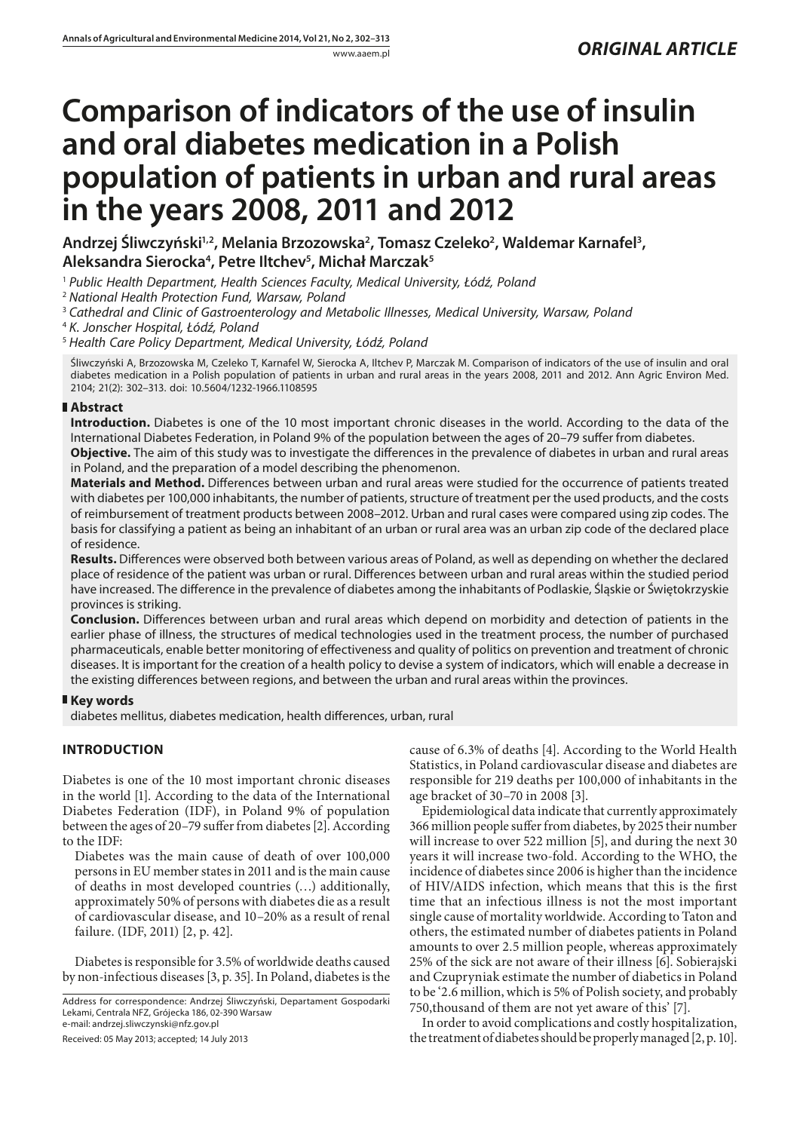# **Comparison of indicators of the use of insulin and oral diabetes medication in a Polish population of patients in urban and rural areas in the years 2008, 2011 and 2012**

Andrzej Śliwczyński½, Melania Brzozowska<sup>2</sup>, Tomasz Czeleko<sup>2</sup>, Waldemar Karnafel<sup>3</sup>, **Aleksandra Sierocka4 , Petre Iltchev5 , Michał Marczak5**

<sup>1</sup> *Public Health Department, Health Sciences Faculty, Medical University, Łódź, Poland*

<sup>2</sup> *National Health Protection Fund, Warsaw, Poland*

<sup>3</sup> *Cathedral and Clinic of Gastroenterology and Metabolic Illnesses, Medical University, Warsaw, Poland*

<sup>4</sup> *K. Jonscher Hospital, Łódź, Poland*

<sup>5</sup> *Health Care Policy Department, Medical University, Łódź, Poland*

Śliwczyński A, Brzozowska M, Czeleko T, Karnafel W, Sierocka A, Iltchev P, Marczak M. Comparison of indicators of the use of insulin and oral diabetes medication in a Polish population of patients in urban and rural areas in the years 2008, 2011 and 2012. Ann Agric Environ Med. 2104; 21(2): 302–313. doi: 10.5604/1232-1966.1108595

# **Abstract**

**Introduction.** Diabetes is one of the 10 most important chronic diseases in the world. According to the data of the International Diabetes Federation, in Poland 9% of the population between the ages of 20–79 suffer from diabetes.

**Objective.** The aim of this study was to investigate the differences in the prevalence of diabetes in urban and rural areas in Poland, and the preparation of a model describing the phenomenon.

**Materials and Method.** Differences between urban and rural areas were studied for the occurrence of patients treated with diabetes per 100,000 inhabitants, the number of patients, structure of treatment per the used products, and the costs of reimbursement of treatment products between 2008–2012. Urban and rural cases were compared using zip codes. The basis for classifying a patient as being an inhabitant of an urban or rural area was an urban zip code of the declared place of residence.

**Results.** Differences were observed both between various areas of Poland, as well as depending on whether the declared place of residence of the patient was urban or rural. Differences between urban and rural areas within the studied period have increased. The difference in the prevalence of diabetes among the inhabitants of Podlaskie, Śląskie or Świętokrzyskie provinces is striking.

**Conclusion.** Differences between urban and rural areas which depend on morbidity and detection of patients in the earlier phase of illness, the structures of medical technologies used in the treatment process, the number of purchased pharmaceuticals, enable better monitoring of effectiveness and quality of politics on prevention and treatment of chronic diseases. It is important for the creation of a health policy to devise a system of indicators, which will enable a decrease in the existing differences between regions, and between the urban and rural areas within the provinces.

## **Key words**

diabetes mellitus, diabetes medication, health differences, urban, rural

# **INTRODUCTION**

Diabetes is one of the 10 most important chronic diseases in the world [1]. According to the data of the International Diabetes Federation (IDF), in Poland 9% of population between the ages of 20–79 suffer from diabetes [2]. According to the IDF:

Diabetes was the main cause of death of over 100,000 persons in EU member states in 2011 and is the main cause of deaths in most developed countries (…) additionally, approximately 50% of persons with diabetes die as a result of cardiovascular disease, and 10–20% as a result of renal failure. (IDF, 2011) [2, p. 42].

Diabetes is responsible for 3.5% of worldwide deaths caused by non-infectious diseases [3, p. 35]. In Poland, diabetes is the

Address for correspondence: Andrzej Śliwczyński, Departament Gospodarki Lekami, Centrala NFZ, Grójecka 186, 02-390 Warsaw e-mail: andrzej.sliwczynski@nfz.gov.pl

Received: 05 May 2013; accepted; 14 July 2013

cause of 6.3% of deaths [4]. According to the World Health Statistics, in Poland cardiovascular disease and diabetes are responsible for 219 deaths per 100,000 of inhabitants in the age bracket of 30–70 in 2008 [3].

Epidemiological data indicate that currently approximately 366 million people suffer from diabetes, by 2025 their number will increase to over 522 million [5], and during the next 30 years it will increase two-fold. According to the WHO, the incidence of diabetes since 2006 is higher than the incidence of HIV/AIDS infection, which means that this is the first time that an infectious illness is not the most important single cause of mortality worldwide. According to Taton and others, the estimated number of diabetes patients in Poland amounts to over 2.5 million people, whereas approximately 25% of the sick are not aware of their illness [6]. Sobierajski and Czupryniak estimate the number of diabetics in Poland to be '2.6 million, which is 5% of Polish society, and probably 750,thousand of them are not yet aware of this' [7].

In order to avoid complications and costly hospitalization, the treatment of diabetes should be properly managed [2, p. 10].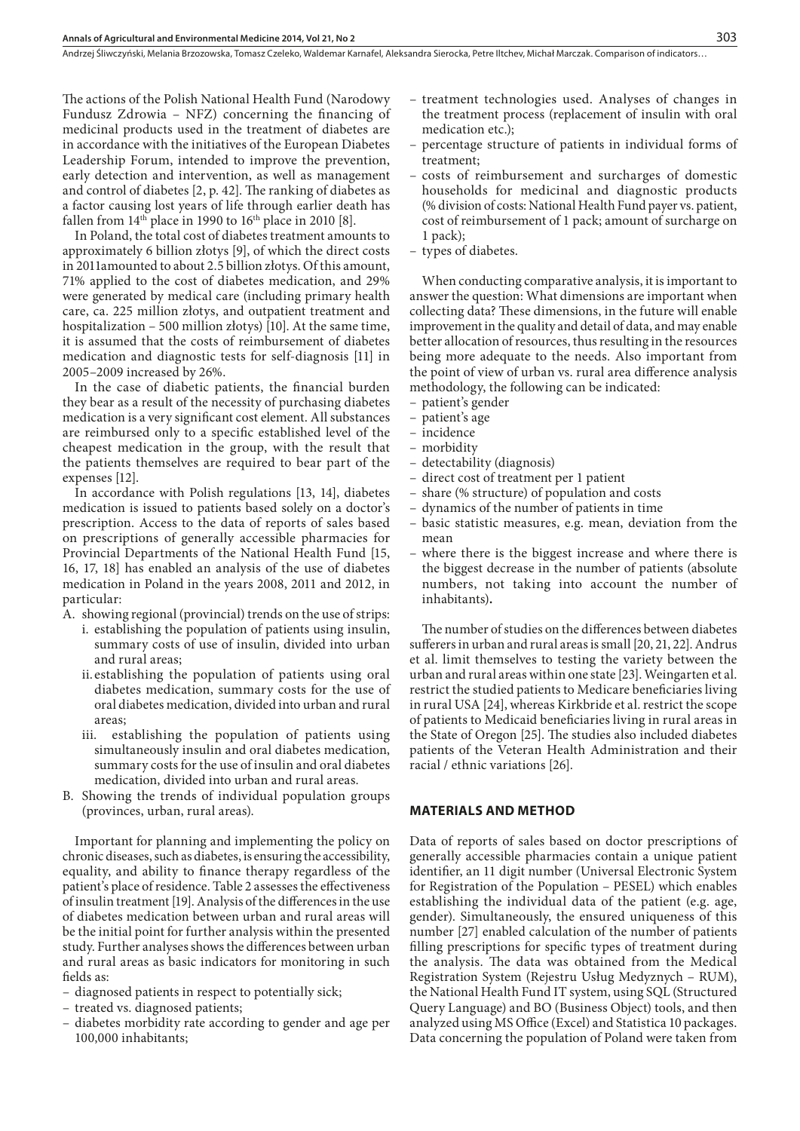Andrzej Śliwczyński, Melania Brzozowska, Tomasz Czeleko, Waldemar Karnafel, Aleksandra Sierocka, Petre Iltchev, Michał Marczak . Comparison of indicators…

The actions of the Polish National Health Fund (Narodowy Fundusz Zdrowia – NFZ) concerning the financing of medicinal products used in the treatment of diabetes are in accordance with the initiatives of the European Diabetes Leadership Forum, intended to improve the prevention, early detection and intervention, as well as management and control of diabetes [2, p. 42]. The ranking of diabetes as a factor causing lost years of life through earlier death has fallen from  $14<sup>th</sup>$  place in 1990 to  $16<sup>th</sup>$  place in 2010 [8].

In Poland, the total cost of diabetes treatment amounts to approximately 6 billion złotys [9], of which the direct costs in 2011amounted to about 2.5 billion złotys. Of this amount, 71% applied to the cost of diabetes medication, and 29% were generated by medical care (including primary health care, ca. 225 million złotys, and outpatient treatment and hospitalization – 500 million złotys) [10]. At the same time, it is assumed that the costs of reimbursement of diabetes medication and diagnostic tests for self-diagnosis [11] in 2005–2009 increased by 26%.

In the case of diabetic patients, the financial burden they bear as a result of the necessity of purchasing diabetes medication is a very significant cost element. All substances are reimbursed only to a specific established level of the cheapest medication in the group, with the result that the patients themselves are required to bear part of the expenses [12].

In accordance with Polish regulations [13, 14], diabetes medication is issued to patients based solely on a doctor's prescription. Access to the data of reports of sales based on prescriptions of generally accessible pharmacies for Provincial Departments of the National Health Fund [15, 16, 17, 18] has enabled an analysis of the use of diabetes medication in Poland in the years 2008, 2011 and 2012, in particular:

A. showing regional (provincial) trends on the use of strips:

- i. establishing the population of patients using insulin, summary costs of use of insulin, divided into urban and rural areas;
	- ii.establishing the population of patients using oral diabetes medication, summary costs for the use of oral diabetes medication, divided into urban and rural areas;
	- iii. establishing the population of patients using simultaneously insulin and oral diabetes medication, summary costs for the use of insulin and oral diabetes medication, divided into urban and rural areas.
- B. Showing the trends of individual population groups (provinces, urban, rural areas).

Important for planning and implementing the policy on chronic diseases, such as diabetes, is ensuring the accessibility, equality, and ability to finance therapy regardless of the patient's place of residence. Table 2 assesses the effectiveness of insulin treatment [19]. Analysis of the differences in the use of diabetes medication between urban and rural areas will be the initial point for further analysis within the presented study. Further analyses shows the differences between urban and rural areas as basic indicators for monitoring in such fields as:

- diagnosed patients in respect to potentially sick;
- treated vs. diagnosed patients;
- diabetes morbidity rate according to gender and age per 100,000 inhabitants;
- treatment technologies used. Analyses of changes in the treatment process (replacement of insulin with oral medication etc.);
- percentage structure of patients in individual forms of treatment;
- costs of reimbursement and surcharges of domestic households for medicinal and diagnostic products (% division of costs: National Health Fund payer vs. patient, cost of reimbursement of 1 pack; amount of surcharge on 1 pack);
- types of diabetes.

When conducting comparative analysis, it is important to answer the question: What dimensions are important when collecting data? These dimensions, in the future will enable improvement in the quality and detail of data, and may enable better allocation of resources, thus resulting in the resources being more adequate to the needs. Also important from the point of view of urban vs. rural area difference analysis methodology, the following can be indicated:

- patient's gender
- patient's age
- incidence
- morbidity
- detectability (diagnosis)
- direct cost of treatment per 1 patient
- share (% structure) of population and costs
- dynamics of the number of patients in time
- basic statistic measures, e.g. mean, deviation from the mean
- where there is the biggest increase and where there is the biggest decrease in the number of patients (absolute numbers, not taking into account the number of inhabitants)**.**

The number of studies on the differences between diabetes sufferers in urban and rural areas is small [20, 21, 22]. Andrus et al. limit themselves to testing the variety between the urban and rural areas within one state [23]. Weingarten et al. restrict the studied patients to Medicare beneficiaries living in rural USA [24], whereas Kirkbride et al. restrict the scope of patients to Medicaid beneficiaries living in rural areas in the State of Oregon [25]. The studies also included diabetes patients of the Veteran Health Administration and their racial / ethnic variations [26].

### **MATERIALS AND METHOD**

Data of reports of sales based on doctor prescriptions of generally accessible pharmacies contain a unique patient identifier, an 11 digit number (Universal Electronic System for Registration of the Population – PESEL) which enables establishing the individual data of the patient (e.g. age, gender). Simultaneously, the ensured uniqueness of this number [27] enabled calculation of the number of patients filling prescriptions for specific types of treatment during the analysis. The data was obtained from the Medical Registration System (Rejestru Usług Medyznych – RUM), the National Health Fund IT system, using SQL (Structured Query Language) and BO (Business Object) tools, and then analyzed using MS Office (Excel) and Statistica 10 packages. Data concerning the population of Poland were taken from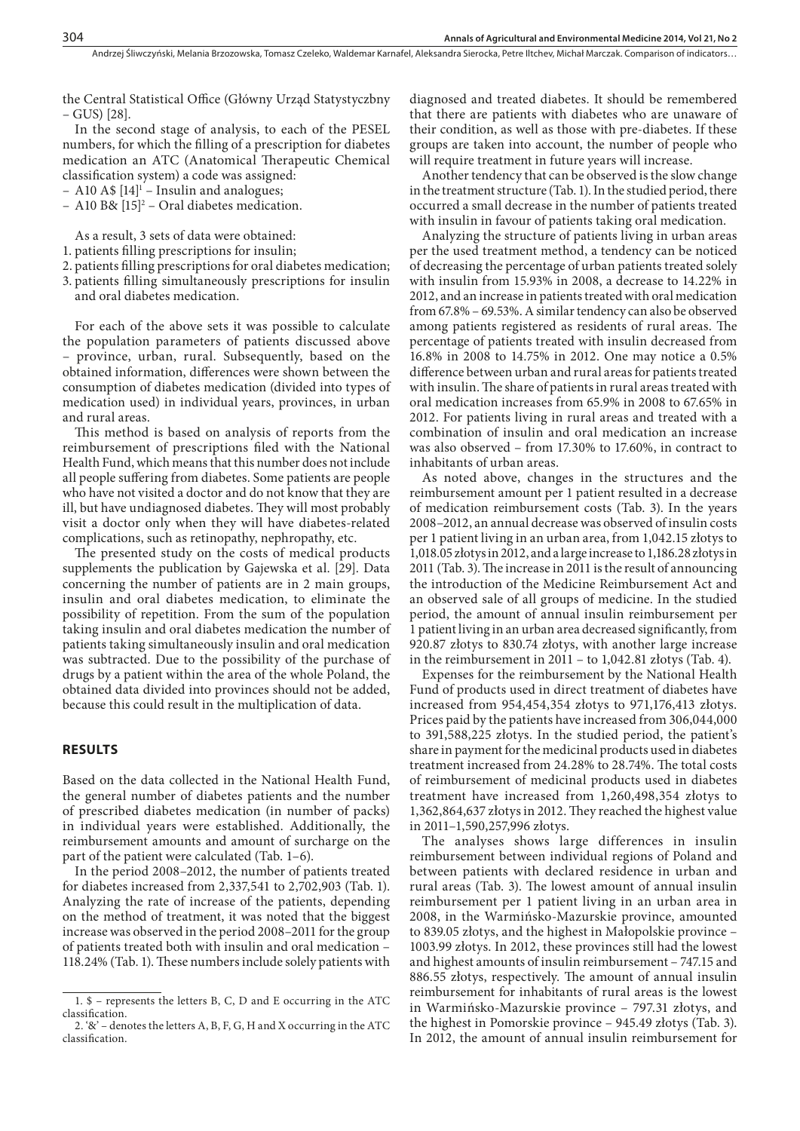the Central Statistical Office (Główny Urząd Statystyczbny – GUS) [28].

In the second stage of analysis, to each of the PESEL numbers, for which the filling of a prescription for diabetes medication an ATC (Anatomical Therapeutic Chemical classification system) a code was assigned:

- $-$  A10 A\$  $[14]$ <sup>1</sup> Insulin and analogues;
- $-$  A10 B&  $[15]^2$  Oral diabetes medication.

As a result, 3 sets of data were obtained:

- 1. patients filling prescriptions for insulin;
- 2. patients filling prescriptions for oral diabetes medication;
- 3. patients filling simultaneously prescriptions for insulin and oral diabetes medication.

For each of the above sets it was possible to calculate the population parameters of patients discussed above – province, urban, rural. Subsequently, based on the obtained information, differences were shown between the consumption of diabetes medication (divided into types of medication used) in individual years, provinces, in urban and rural areas.

This method is based on analysis of reports from the reimbursement of prescriptions filed with the National Health Fund, which means that this number does not include all people suffering from diabetes. Some patients are people who have not visited a doctor and do not know that they are ill, but have undiagnosed diabetes. They will most probably visit a doctor only when they will have diabetes-related complications, such as retinopathy, nephropathy, etc.

The presented study on the costs of medical products supplements the publication by Gajewska et al. [29]. Data concerning the number of patients are in 2 main groups, insulin and oral diabetes medication, to eliminate the possibility of repetition. From the sum of the population taking insulin and oral diabetes medication the number of patients taking simultaneously insulin and oral medication was subtracted. Due to the possibility of the purchase of drugs by a patient within the area of the whole Poland, the obtained data divided into provinces should not be added, because this could result in the multiplication of data.

#### **RESULTS**

Based on the data collected in the National Health Fund, the general number of diabetes patients and the number of prescribed diabetes medication (in number of packs) in individual years were established. Additionally, the reimbursement amounts and amount of surcharge on the part of the patient were calculated (Tab. 1–6).

In the period 2008–2012, the number of patients treated for diabetes increased from 2,337,541 to 2,702,903 (Tab. 1). Analyzing the rate of increase of the patients, depending on the method of treatment, it was noted that the biggest increase was observed in the period 2008–2011 for the group of patients treated both with insulin and oral medication – 118.24% (Tab. 1). These numbers include solely patients with

diagnosed and treated diabetes. It should be remembered that there are patients with diabetes who are unaware of their condition, as well as those with pre-diabetes. If these groups are taken into account, the number of people who will require treatment in future years will increase.

Another tendency that can be observed is the slow change in the treatment structure (Tab. 1). In the studied period, there occurred a small decrease in the number of patients treated with insulin in favour of patients taking oral medication.

Analyzing the structure of patients living in urban areas per the used treatment method, a tendency can be noticed of decreasing the percentage of urban patients treated solely with insulin from 15.93% in 2008, a decrease to 14.22% in 2012, and an increase in patients treated with oral medication from 67.8% – 69.53%. A similar tendency can also be observed among patients registered as residents of rural areas. The percentage of patients treated with insulin decreased from 16.8% in 2008 to 14.75% in 2012. One may notice a 0.5% difference between urban and rural areas for patients treated with insulin. The share of patients in rural areas treated with oral medication increases from 65.9% in 2008 to 67.65% in 2012. For patients living in rural areas and treated with a combination of insulin and oral medication an increase was also observed – from 17.30% to 17.60%, in contract to inhabitants of urban areas.

As noted above, changes in the structures and the reimbursement amount per 1 patient resulted in a decrease of medication reimbursement costs (Tab. 3). In the years 2008–2012, an annual decrease was observed of insulin costs per 1 patient living in an urban area, from 1,042.15 złotys to 1,018.05 złotys in 2012, and a large increase to 1,186.28 złotys in 2011 (Tab. 3). The increase in 2011 is the result of announcing the introduction of the Medicine Reimbursement Act and an observed sale of all groups of medicine. In the studied period, the amount of annual insulin reimbursement per 1 patient living in an urban area decreased significantly, from 920.87 złotys to 830.74 złotys, with another large increase in the reimbursement in 2011 – to 1,042.81 złotys (Tab. 4).

Expenses for the reimbursement by the National Health Fund of products used in direct treatment of diabetes have increased from 954,454,354 złotys to 971,176,413 złotys. Prices paid by the patients have increased from 306,044,000 to 391,588,225 złotys. In the studied period, the patient's share in payment for the medicinal products used in diabetes treatment increased from 24.28% to 28.74%. The total costs of reimbursement of medicinal products used in diabetes treatment have increased from 1,260,498,354 złotys to 1,362,864,637 złotys in 2012. They reached the highest value in 2011–1,590,257,996 złotys.

The analyses shows large differences in insulin reimbursement between individual regions of Poland and between patients with declared residence in urban and rural areas (Tab. 3). The lowest amount of annual insulin reimbursement per 1 patient living in an urban area in 2008, in the Warmińsko-Mazurskie province, amounted to 839.05 złotys, and the highest in Małopolskie province – 1003.99 złotys. In 2012, these provinces still had the lowest and highest amounts of insulin reimbursement – 747.15 and 886.55 złotys, respectively. The amount of annual insulin reimbursement for inhabitants of rural areas is the lowest in Warmińsko-Mazurskie province – 797.31 złotys, and the highest in Pomorskie province – 945.49 złotys (Tab. 3). In 2012, the amount of annual insulin reimbursement for

<sup>1. \$ –</sup> represents the letters B, C, D and E occurring in the ATC classification.

<sup>2. &#</sup>x27;&' – denotes the letters A, B, F, G, H and X occurring in the ATC classification.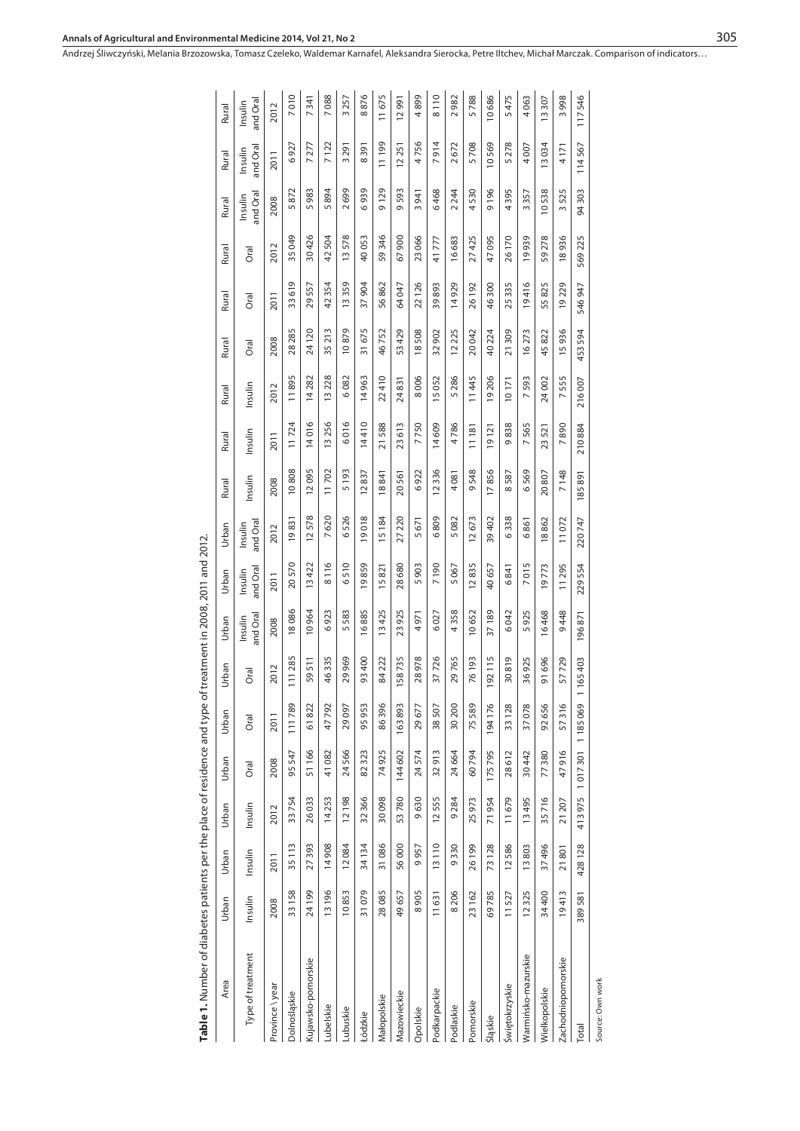| Table 1. Number of diabetes patients per the place of residence and type |                 |                        |         |           |                        |           | of treatment in 2008, 2011 and 2012 |                       |                     |                 |                       |         |            |            |        |                     |                     |                     |
|--------------------------------------------------------------------------|-----------------|------------------------|---------|-----------|------------------------|-----------|-------------------------------------|-----------------------|---------------------|-----------------|-----------------------|---------|------------|------------|--------|---------------------|---------------------|---------------------|
| Area                                                                     | Urban           | Urban                  | Urban   | Urban     | Urban                  | Urban     | Urban                               | Urban                 | Urban               | Rural           | Rural                 | Rural   | Rural      | Rural      | Rural  | Rural               | Rural               | Rural               |
| Type of treatment                                                        | Insulin         | Insulin                | Insulin | Oral      | Oral                   | Oral      | and Oral<br>Insulin                 | and Oral<br>Insulin   | and Oral<br>Insulin | Insulin         | Insulin               | Insulin | Oral       | Oral       | Oral   | and Oral<br>Insulin | and Oral<br>Insulin | and Oral<br>Insulin |
| Province \year                                                           | 2008            | 2011                   | 2012    | 2008      | 2011                   | 2012      | 2008                                | 2011                  | 2012                | 2008            | 2011                  | 2012    | 2008       | 2011       | 2012   | 2008                | 2011                | 2012                |
| Dolnośląskie                                                             | 33158           | 35 113                 | 33754   | 95547     | 111789                 | 111 285   | 18086                               | 20570                 | 19831               | 10808           | 11724                 | 11895   | 28 285     | Q<br>33 61 | 35049  | 5872                | 927<br>$\circ$      | 7010                |
| Kujawsko-pomorskie                                                       | 24 199          | 27393                  | 26033   | 51166     | $\sim$<br>8<br>51      | 511<br>59 | 10964                               | 13422                 | 12578               | 12095           | 14016                 | 14 282  | 24120      | 29557      | 30426  | 983<br>S            | 7 277               | 7341                |
| Lubelskie                                                                | 13196           | 14908                  | 14253   | 41 082    | 47792                  | 46335     | 6923                                | 8116                  | 7620                | 11702           | 13256                 | 13 228  | 35 213     | 42354      | 42504  | 5894                | 7122                | 7088                |
| Lubuskie                                                                 | 10853           | 12084                  | 12198   | 24566     | 29097                  | 29969     | 5583                                | 510<br>O              | 526<br>O            | 5193            | 6016                  | 6082    | 10879      | 13359      | 13578  | 2699                | 3291                | 3257                |
| Łódzkie                                                                  | 31079           | 34134                  | 32 366  | 82323     | 95953                  | 93400     | 16885                               | 19859                 | 19018               | 12837           | 14410                 | 14963   | 31675      | 37904      | 40053  | 6939                | 8391                | 8876                |
| Małopolskie                                                              | 28085           | 31086                  | 30098   | 74925     | 86396                  | 84222     | 13425                               | 15821                 | 15184               | 18841           | 21588                 | 22410   | 46752      | 56862      | 59346  | 9129                | 11199               | 11675               |
| Mazowieckie                                                              | 49657           | 56000                  | 53780   | 144602    | 163893                 | 58735     | 23925                               | 28680                 | 27220               | 20561           | 23613                 | 24831   | 53429      | 64 047     | 67900  | 9593                | 12251               | 12991               |
| Opolskie                                                                 | 8905            | 957<br>G               | 9630    | 24574     | $\overline{ }$<br>2967 | 28978     | 4971                                | 903<br>5              | 5671                | 6922            | 7750                  | 8006    | 18508      | 22126      | 23066  | 3941                | 4756                | 4899                |
| Podkarpackie                                                             | 11631           | 13110                  | 12555   | 32913     | 38507                  | 37726     | 6027                                | 7190                  | 6809                | 12336           | 14609                 | 15052   | 32 902     | 39893      | 41777  | 6468                | 7914                | 8110                |
| Podlaskie                                                                | 206<br>$\infty$ | 9330                   | 9284    | 24664     | $\circ$<br>30 20       | 29765     | 4358                                | 5067                  | 5082                | 4 081           | 4786                  | 5286    | 12 225     | 14929      | 16683  | 2 2 44              | 2672                | 2982                |
| Pomorskie                                                                | 23 162          | 26199                  | 25973   | 60794     | $\sigma$<br>75 58      | 76193     | 10652                               | 12835                 | 12673               | 9548            | 11181                 | 11445   | 20042      | 26192      | 27425  | 4530                | 5708                | 5788                |
| Śląskie                                                                  | 69785           | 73128                  | 71954   | 175795    | $\circ$<br>194176      | 192115    | 37189                               | 40657                 | 39402               | 17856           | 19121                 | 19 206  | 40224      | 46300      | 47095  | 9196                | 10569               | 10686               |
| Świętokrzyskie                                                           | 11527           | 12586                  | 11679   | 612<br>28 | $\infty$<br>33128      | 30819     | 6042                                | 841<br>$\circ$        | 6338                | 587<br>$\infty$ | 838<br>Ō              | 10171   | 21309      | 25335      | 26 170 | 4395                | 278<br>5            | 5475                |
| Warmińsko-mazurskie                                                      | 12325           | 13803                  | 13495   | 30442     | $\infty$<br>37078      | 36925     | 925<br>5                            | 015<br>$\overline{ }$ | 6861                | 569<br>$\circ$  | 565<br>$\overline{ }$ | 7593    | 16273      | 19416      | 19939  | 3357                | 4007                | 4 063               |
| Wielkopolskie                                                            | 34400           | 37496                  | 35716   | 77380     | $\circ$<br>92656       | 696<br>51 | 16468                               | 19773                 | 18862               | 20807           | 23521                 | 24002   | 45822      | 55825      | 59278  | 10538               | 13034               | 13307               |
| Zachodniopomorskie                                                       | 19413           | 801<br>$\overline{21}$ | 21 207  | 47916     | LO<br>5731             | 57729     | 448<br>Ō                            | 11295                 | 11072               | 7148            | 7890                  | 7555    | 15936      | 19229      | 18936  | 3525                | 4171                | 3998                |
| Total                                                                    | 581<br>389      | 428 128                | 413975  | 1017301   | െ<br>118506            | 1165403   | 96871                               | 229554                | 220747              | 85891           | 210884                | 216007  | 594<br>453 | 947<br>546 | 569225 | 303<br>\$           | 567<br>114          | 117546              |
| Source: Own work                                                         |                 |                        |         |           |                        |           |                                     |                       |                     |                 |                       |         |            |            |        |                     |                     |                     |

| $\bullet$ 1. Number of diabetes patients per the place of residence and type of treatment in 2008, 2011 and 2012 |
|------------------------------------------------------------------------------------------------------------------|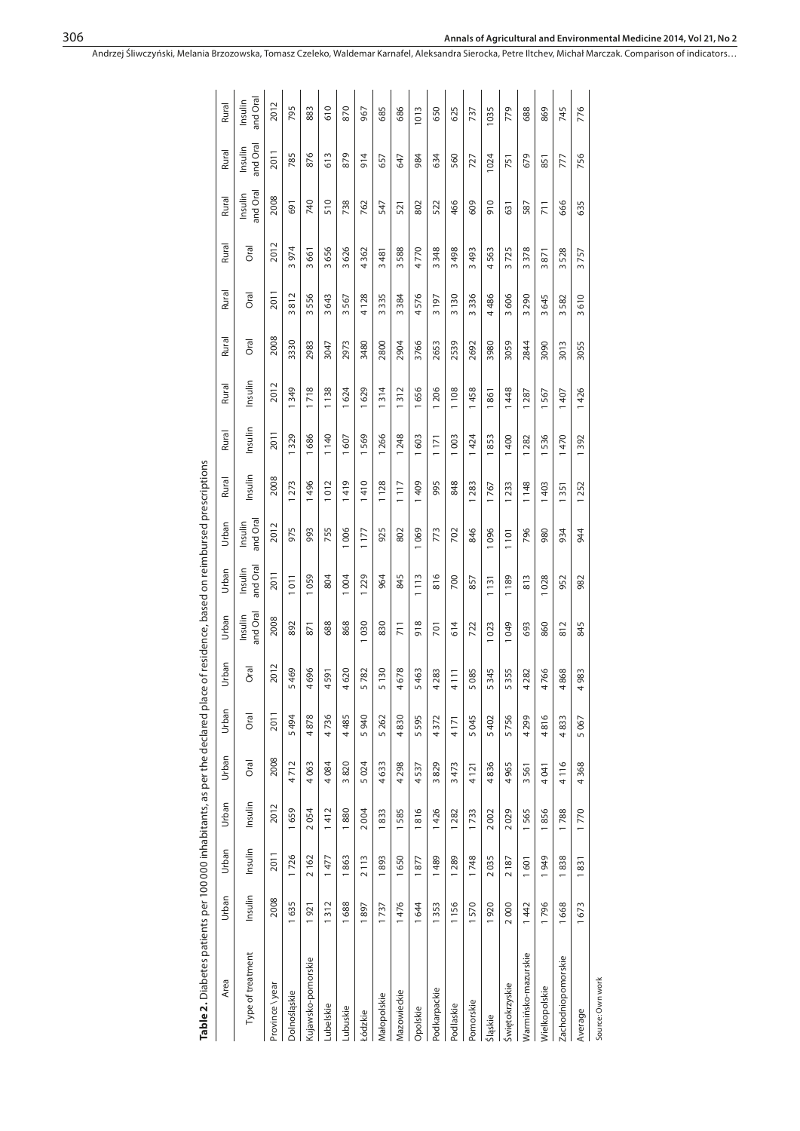| Table 2. Diabetes patients per 100 000 inhabitants, as per the declared place of residence, based on reimbursed prescriptions | Area  | Type of treatment   | Province \ year | Dolnośląskie | Kujawsko-pomorskie | Lubelskie | Lubuskie | Łódzkie | Małopolskie | Mazowieckie | Opolskie          | Podkarpackie | Podlaskie | Pomorskie | Śląskie | <b>Świętokrzyskie</b> | Warmińsko-mazurskie | Wielkopolskie  | Zachodniopomorskie | Average       | Source: Own work |
|-------------------------------------------------------------------------------------------------------------------------------|-------|---------------------|-----------------|--------------|--------------------|-----------|----------|---------|-------------|-------------|-------------------|--------------|-----------|-----------|---------|-----------------------|---------------------|----------------|--------------------|---------------|------------------|
|                                                                                                                               | Urban | Insulin             | 2008            | 1635         | 1921               | 1312      | 1688     | 1897    | 1737        | 1476        | 1644              | 1353         | 1156      | 1570      | 1920    | 2000                  | 1442                | 1796           | 668                | 673           |                  |
|                                                                                                                               | Urban | Insulin             | 2011            | 1726         | 2162               | 1477      | 863      | 2113    | 893         | 1650        | 1877              | 1489         | 1289      | 1748      | 2035    | 2187                  | 601                 | 1949           | 1838               | 831           |                  |
|                                                                                                                               | Urban | Insulin             | 2012            | 1659         | 2054               | 1412      | 1880     | 2004    | 1833        | 1585        | 1816              | 1426         | 1282      | 1733      | 2002    | 2029                  | 1565                | 1856           | 1788               | 1770          |                  |
|                                                                                                                               | Urban | Oral                | 2008            | 4712         | 4063               | 4084      | 3820     | 5024    | 4633        | 4 2 9 8     | 4537              | 3829         | 3473      | 4121      | 4836    | 4965                  | 3561                | 4041           | 4116               | 368<br>4      |                  |
|                                                                                                                               | Urban | Oral                | 2011            | 5494         | 4878               | 4736      | 4485     | 5940    | 5 26 2      | 4830        | 595<br>$\sqrt{2}$ | 4372         | 4171      | 5045      | 5402    | 5756                  | 4299                | 4816           | 4833               | 067<br>S      |                  |
|                                                                                                                               | Urban | Oral                | 2012            | 5469         | 4696               | 4591      | 4620     | 5782    | 5 130       | 4678        | 5463              | 4283         | 4111      | 5085      | 5345    | 5355                  | 4 282               | 4766           | 4868               | 4983          |                  |
|                                                                                                                               | Urban | and Oral<br>Insulin | 2008            | 892          | 871                | 688       | 868      | 1030    | 830         | 711         | 918               | 701          | 614       | 722       | 1023    | 1049                  | 693                 | 860            | 812                | 845           |                  |
|                                                                                                                               | Urban | and Oral<br>Insulin | 2011            | 1011         | 1059               | 804       | 1004     | 229     | 964         | 845         | 113               | 816          | 700       | 857       | 1131    | 1189                  | 813                 | 028            | 952                | 982           |                  |
|                                                                                                                               | Urban | and Oral<br>Insulin | 2012            | 975          | 993                | 755       | 1006     | 1177    | 925         | 802         | 1069              | 773          | 702       | 846       | 1096    | 1101                  | 796                 | 980            | 934                | 944           |                  |
|                                                                                                                               | Rural | Insulin             | 2008            | 1273         | 1496               | 1012      | 419      | 1410    | 1128        | 117         | 1409              | 995          | 848       | 1283      | 1767    | 1233                  | 1148                | 1403           | 1351               | 252           |                  |
|                                                                                                                               | Rural | Insulin             | 201             | 1329         | 1686               | 1140      | 607      | 569     | 266         | 1 248       | 1603              | 171          | 1003      | 1424      | 1853    | 1400                  | 1282                | 536            | 1470               | 392           |                  |
|                                                                                                                               | Rural | Insulin             | 2012            | 1349         | 1718               | 1138      | 1624     | 1629    | 1314        | 1312        | 1656              | 1 206        | 1 108     | 1458      | 1861    | 1448                  | 1287                | 1567           | 1407               | 1426          |                  |
|                                                                                                                               | Rural | Oral                | 2008            | 3330         | 2983               | 3047      | 2973     | 3480    | 2800        | 2904        | 3766              | 2653         | 2539      | 2692      | 3980    | 3059                  | 2844                | 3090           | 3013               | 3055          |                  |
|                                                                                                                               | Rural | Oral                | 2011            | 3812         | 3556               | 3643      | 3567     | 4128    | 3335        | 3384        | 4576              | 3197         | 3130      | 3336      | 4486    | 3606                  | 3290                | 3645           | 3582               | 3610          |                  |
|                                                                                                                               | Rural | Oral                | 2012            | 3974         | 3661               | 3656      | 3626     | 4362    | 3481        | 3588        | 4770              | 3348         | 3498      | 3493      | 4563    | 3725                  | 3378                | 3871           | 3528               | 757<br>$\sim$ |                  |
|                                                                                                                               | Rural | and Oral<br>Insulin | 2008            | 691          | 740                | 510       | 738      | 762     | 547         | 521         | 802               | 522          | 466       | 609       | 910     | $\overline{63}$       | 587                 | $\overline{1}$ | 666                | 635           |                  |
|                                                                                                                               | Rural | and Oral<br>Insulin | 2011            | 785          | 876                | 613       | 879      | 914     | 657         | 647         | 984               | 634          | 560       | 727       | 1024    | $\overline{75}$       | 679                 | 851            | 777                | 756           |                  |
|                                                                                                                               | Rural | and Oral<br>Insulin | 2012            | 795          | 883                | 610       | 870      | 967     | 685         | 686         | 1013              | 650          | 625       | 737       | 1035    | 779                   | 688                 | 869            | 745                | 776           |                  |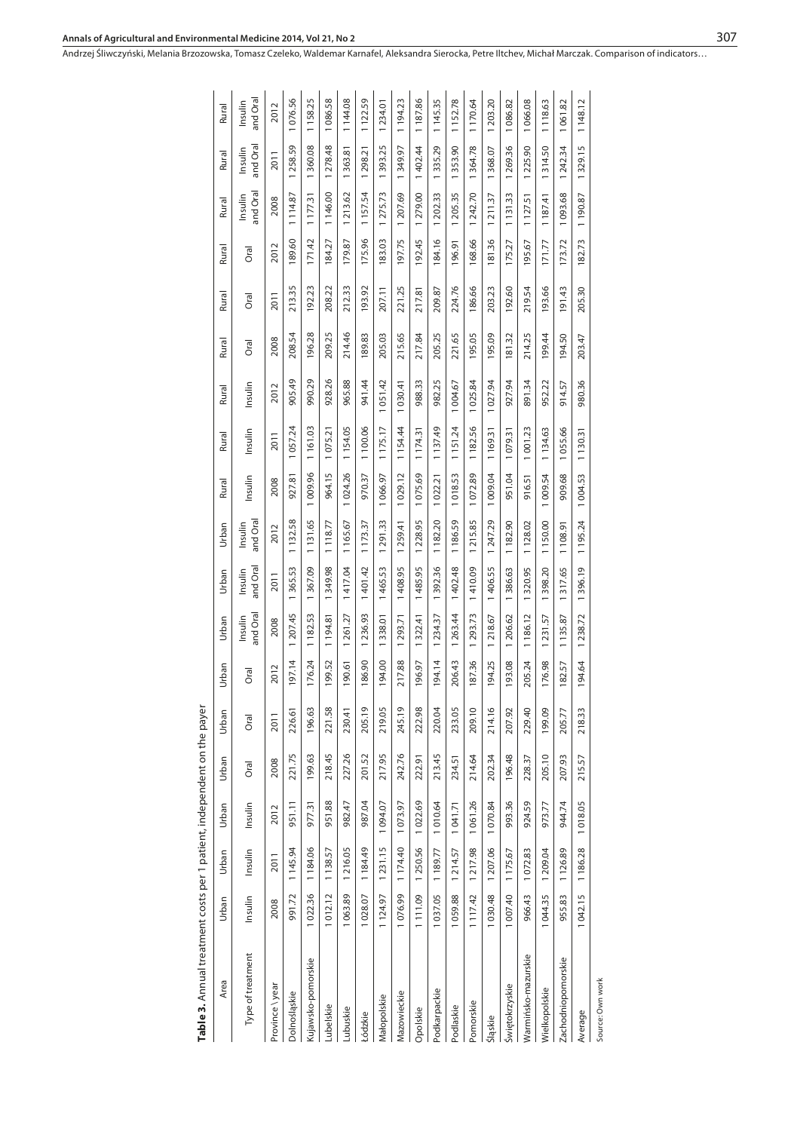| Table 3. Annual treatment costs per 1 patient, independent on the payer |          |          |         |           |        |        |                     |                     |                     |         |          |          |        |        |             |                     |                     |                     |
|-------------------------------------------------------------------------|----------|----------|---------|-----------|--------|--------|---------------------|---------------------|---------------------|---------|----------|----------|--------|--------|-------------|---------------------|---------------------|---------------------|
| Area                                                                    | Urban    | Urban    | Urban   | Urban     | Urban  | Urban  | Urban               | Urban               | Urban               | Rural   | Rural    | Rural    | Rural  | Rural  | Rural       | Rural               | Rural               | Rural               |
| Type of treatment                                                       | Insulin  | Insulin  | Insulin | Oral      | Oral   | Oral   | and Oral<br>Insulin | and Oral<br>Insulin | and Oral<br>Insulin | nsulin  | Insulin  | nsulin   | Oral   | Oral   | <b>Oral</b> | and Oral<br>Insulin | and Oral<br>Insulin | and Oral<br>Insulin |
| Province \year                                                          | 2008     | 2011     | 2012    | 2008      | 2011   | 2012   | 2008                | 2011                | 2012                | 2008    | 2011     | 2012     | 2008   | 2011   | 2012        | 2008                | 2011                | 2012                |
| Dolnośląskie                                                            | 991.72   | 1145.94  | 951.11  | 221.75    | 226.61 | 197.14 | 207.45              | 365.53              | 1132.58             | 927.81  | 057.24   | 905.49   | 208.54 | 213.35 | 189.60      | 1114.87             | 1258.59             | 076.56              |
| Kujawsko-pomorskie                                                      | 1022.36  | 1184.06  | 977.31  | 199.63    | 196.63 | 176.24 | 1 182.53            | 367.09              | 1131.65             | 009.96  | 1161.03  | 990.29   | 196.28 | 192.23 | 171.42      | 1177.31             | 1360.08             | 1158.25             |
| Lubelskie                                                               | 1012.12  | 1138.57  | 951.88  | 218.45    | 221.58 | 199.52 | 1194.81             | 1349.98             | 1118.77             | 964.15  | 1075.21  | 928.26   | 209.25 | 208.22 | 184.27      | 1146.00             | 1 278.48            | 1086.58             |
| Lubuskie                                                                | 1063.89  | 1216.05  | 982.47  | 227.26    | 230.41 | 190.61 | 1261.27             | 1417.04             | 1165.67             | 024.26  | 1154.05  | 965.88   | 214.46 | 212.33 | 179.87      | 213.62              | 363.81              | 1144.08             |
| Łódzkie                                                                 | 1028.07  | 1 184.49 | 987.04  | 52<br>201 | 205.19 | 186.90 | 1236.93             | 1401.42             | 1173.37             | 970.37  | 1100.06  | 941.44   | 189.83 | 193.92 | 175.96      | 1157.54             | 298.21              | 1122.59             |
| Małopolskie                                                             | 1124.97  | 1231.15  | 1094.07 | 217.95    | 219.05 | 194.00 | 1338.01             | 1465.53             | 291.33              | 1066.97 | 1175.17  | 1 051.42 | 205.03 | 207.11 | 183.03      | 1 275.73            | 1393.25             | 1234.01             |
| Mazowieckie                                                             | 1076.99  | 1174.40  | 1073.97 | 242.76    | 245.19 | 217.88 | 1293.71             | 1408.95             | 259.41              | 1029.12 | 1154.44  | 1030.41  | 215.65 | 221.25 | 197.75      | 207.69              | 349.97              | 1194.23             |
| Opolskie                                                                | 1111.09  | 1250.56  | 1022.69 | 222.91    | 222.98 | 96.97  | 1322.41             | 1485.95             | 228.95              | 1075.69 | 1174.31  | 988.33   | 217.84 | 217.81 | 192.45      | 279.00              | 1402.44             | 1187.86             |
| Podkarpackie                                                            | 1037.05  | 1189.77  | 1010.64 | 213.45    | 220.04 | 94.14  | 1 234.37            | 1392.36             | 1182.20             | 1022.21 | 1137.49  | 982.25   | 205.25 | 209.87 | 184.16      | 1202.33             | 1335.29             | 1145.35             |
| Podlaskie                                                               | 1059.88  | 1214.57  | 1041.71 | 234.51    | 233.05 | 206.43 | 263.44              | 1402.48             | 1186.59             | 1018.53 | 1151.24  | 1004.67  | 221.65 | 224.76 | 196.91      | 1205.35             | 353.90              | 1152.78             |
| Pomorskie                                                               | 1117.42  | 1217.98  | 1061.26 | 214.64    | 209.10 | 187.36 | 293.73              | 1410.09             | 215.85              | 1072.89 | 1 182.56 | 1025.84  | 195.05 | 186.66 | 168.66      | 1242.70             | 1364.78             | 1170.64             |
| Sląskie                                                                 | 1030.48  | 1 207.06 | 1070.84 | 202.34    | 214.16 | 194.25 | 1218.67             | 1406.55             | 1 247.29            | 1009.04 | 1169.31  | 1027.94  | 195.09 | 203.23 | 181.36      | 1211.37             | 1368.07             | 203.20              |
| Świętokrzyskie                                                          | 1 007.40 | 1175.67  | 993.36  | 196.48    | 207.92 | 193.08 | 1206.62             | 1386.63             | 1182.90             | 951.04  | 1079.31  | 927.94   | 181.32 | 192.60 | 175.27      | 1131.33             | 1269.36             | 1086.82             |
| Warmińsko-mazurskie                                                     | 966.43   | 1072.83  | 924.59  | 228.37    | 229.40 | 205.24 | 1 186.12            | 320.95              | 1128.02             | 916.51  | 1001.23  | 891.34   | 214.25 | 219.54 | 195.67      | 1 127.51            | 225.90              | 1066.08             |
| Wielkopolskie                                                           | 1044.35  | 1209.04  | 973.77  | 205.10    | 199.09 | 176.98 | 1231.57             | 398.20              | 1150.00             | 1009.54 | 1134.63  | 952.22   | 199.44 | 193.66 | 171.77      | 1 187.41            | 1314.50             | 1118.63             |
| Zachodniopomorskie                                                      | 955.83   | 1126.89  | 944.74  | 207.93    | 205.77 | 182.57 | 1135.87             | 317.65              | 1108.91             | 909.68  | 1055.66  | 914.57   | 194.50 | 191.43 | 173.72      | 1093.68             | 1242.34             | 1061.82             |
| Average                                                                 | 1042.15  | 1186.28  | 018.05  | 215.57    | 218.33 | 94.64  | 238.72              | 396.19              | 1195.24             | 1004.53 | 1130.31  | 980.36   | 203.47 | 205.30 | 182.73      | 1190.87             | 1329.15             | 1 148.12            |
| Source: Own work                                                        |          |          |         |           |        |        |                     |                     |                     |         |          |          |        |        |             |                     |                     |                     |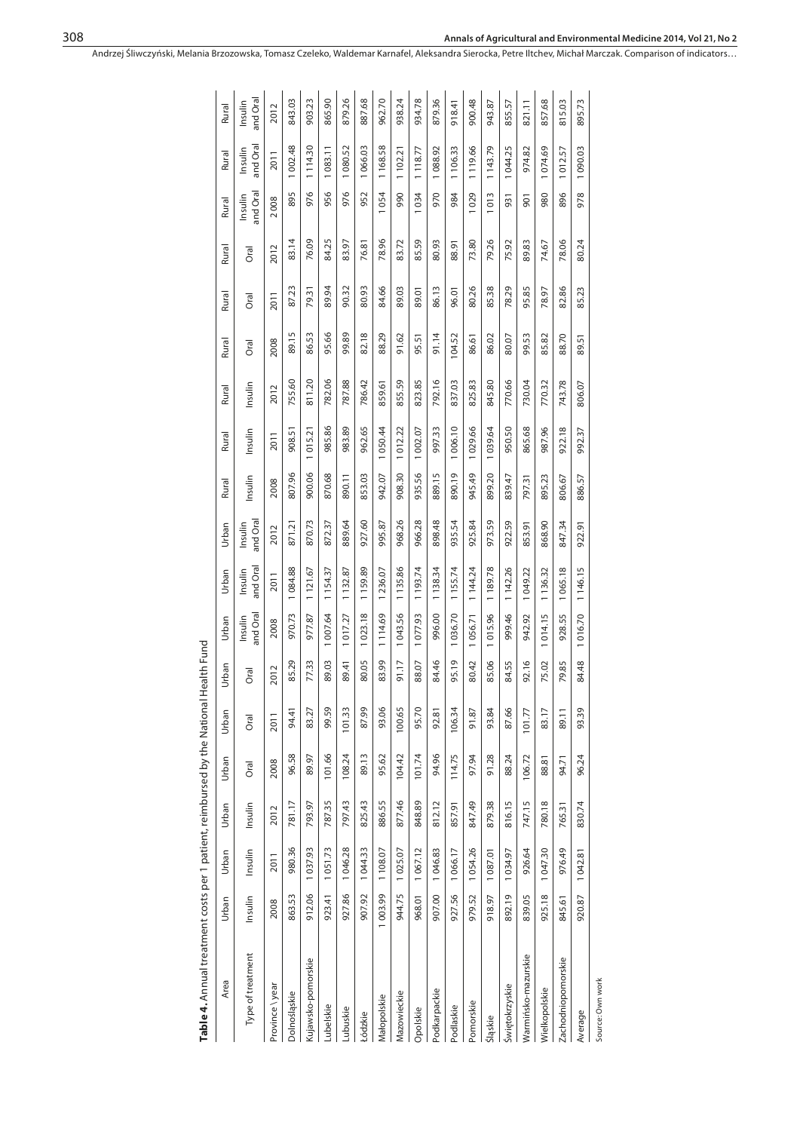| Table 4. Annual treatment costs per 1 patient, reimbursed by the National Health Fund |         |          |         |        |        |       |                     |                     |                     |         |          |         |           |        |       |                     |                     |                     |
|---------------------------------------------------------------------------------------|---------|----------|---------|--------|--------|-------|---------------------|---------------------|---------------------|---------|----------|---------|-----------|--------|-------|---------------------|---------------------|---------------------|
| Area                                                                                  | Urban   | Urban    | Urban   | Urban  | Urban  | Urban | Urban               | Urban               | Urban               | Rural   | Rural    | Rural   | Rural     | Rural  | Rural | Rural               | Rural               | Rural               |
| Type of treatment                                                                     | Insulin | Insulin  | Insulin | Oral   | Oral   | Oral  | and Oral<br>Insulin | and Oral<br>Insulin | and Oral<br>Insulin | Insulin | Insulin  | Insulin | Oral      | ত<br>ত | Oral  | and Oral<br>Insulin | and Oral<br>Insulin | and Oral<br>Insulin |
| Province \year                                                                        | 2008    | 2011     | 2012    | 2008   | 2011   | 2012  | 2008                | 2011                | 2012                | 2008    | 2011     | 2012    | 2008      | 2011   | 2012  | 2008                | 2011                | 2012                |
| Dolnośląskie                                                                          | 863.53  | 980.36   | 781.17  | 96.58  | 94.41  | 85.29 | 970.73              | 1084.88             | 871.21              | 807.96  | 908.51   | 755.60  | 89.15     | 87.23  | 83.14 | 895                 | 1002.48             | 843.03              |
| Kujawsko-pomorskie                                                                    | 912.06  | 1037.93  | 793.97  | 89.97  | 83.27  | 77.33 | 977.87              | 1121.67             | 870.73              | 900.06  | 015.21   | 811.20  | 86.53     | 79.31  | 76.09 | 976                 | 1114.30             | 903.23              |
| Lubelskie                                                                             | 923.41  | 1051.73  | 787.35  | 101.66 | 99.59  | 89.03 | 1007.64             | 1154.37             | 872.37              | 870.68  | 985.86   | 782.06  | 95.66     | 89.94  | 84.25 | 956                 | 1083.11             | 865.90              |
| Lubuskie                                                                              | 927.86  | 1046.28  | 797.43  | 108.24 | 101.33 | 89.41 | 1017.27             | 1132.87             | 889.64              | 890.11  | 983.89   | 787.88  | 99.89     | 90.32  | 83.97 | 976                 | 1 080.52            | 879.26              |
| Łódzkie                                                                               | 907.92  | 1044.33  | 825.43  | 89.13  | 87.99  | 80.05 | 1023.18             | 1159.89             | 927.60              | 853.03  | 962.65   | 786.42  | 82.18     | 80.93  | 76.81 | 952                 | 1066.03             | 887.68              |
| Małopolskie                                                                           | 1003.99 | 1108.07  | 886.55  | 95.62  | 93.06  | 83.99 | 1114.69             | 1236.07             | 995.87              | 942.07  | 1050.44  | 859.61  | 88.29     | 84.66  | 78.96 | 1054                | 1168.58             | 962.70              |
| Mazowieckie                                                                           | 944.75  | 1025.07  | 877.46  | 104.42 | 100.65 | 91.17 | 1043.56             | 1135.86             | 968.26              | 908.30  | 1012.22  | 855.59  | 91.62     | 89.03  | 83.72 | 990                 | 1102.21             | 938.24              |
| Opolskie                                                                              | 968.01  | 1067.12  | 848.89  | 101.74 | 95.70  | 88.07 | 1077.93             | 1 193.74            | 966.28              | 935.56  | 1 002.07 | 823.85  | 95.51     | 89.01  | 85.59 | 1034                | 1118.77             | 934.78              |
| Podkarpackie                                                                          | 907.00  | 1046.83  | 812.12  | 94.96  | 92.81  | 84.46 | 996.00              | 1 138.34            | 898.48              | 889.15  | 997.33   | 792.16  | 91.14     | 86.13  | 80.93 | 970                 | 1088.92             | 879.36              |
| Podlaskie                                                                             | 927.56  | 1066.17  | 857.91  | 114.75 | 106.34 | 95.19 | 1036.70             | 1155.74             | 935.54              | 890.19  | 006.10   | 837.03  | 104.52    | 96.01  | 88.91 | 984                 | 1106.33             | 918.41              |
| Pomorskie                                                                             | 979.52  | 1054.26  | 847.49  | 97.94  | 91.87  | 80.42 | 1056.71             | 1144.24             | 925.84              | 945.49  | 029.66   | 825.83  | 86.61     | 80.26  | 73.80 | 029                 | 1119.66             | 900.48              |
| Śląskie                                                                               | 918.97  | 1 087.01 | 879.38  | 91.28  | 93.84  | 85.06 | 1015.96             | 1189.78             | 973.59              | 899.20  | 039.64   | 845.80  | 86.02     | 85.38  | 79.26 | 1013                | 1143.79             | 943.87              |
| Świętokrzyskie                                                                        | 892.19  | 1034.97  | 816.15  | 88.24  | 87.66  | 84.55 | 999.46              | 1142.26             | 922.59              | 839.47  | 950.50   | 770.66  | 80.07     | 78.29  | 75.92 | 931                 | 044.25              | 855.57              |
| Warmińsko-mazurskie                                                                   | 839.05  | 926.64   | 747.15  | 106.72 | 101.77 | 92.16 | 942.92              | 049.22              | 853.91              | 797.31  | 865.68   | 730.04  | 99.53     | 95.85  | 89.83 | ā                   | 974.82              | 821.11              |
| Wielkopolskie                                                                         | 925.18  | 1047.30  | 780.18  | 88.81  | 83.17  | 75.02 | 1014.15             | 1136.32             | 868.90              | 895.23  | 987.96   | 770.32  | 85.82     | 78.97  | 74.67 | 980                 | 074.69              | 857.68              |
| Zachodniopomorskie                                                                    | 845.61  | 976.49   | 765.31  | 94.71  | 89.11  | 79.85 | 928.55              | 1065.18             | 847.34              | 806.67  | 922.18   | 743.78  | 88.70     | 82.86  | 78.06 | 896                 | 1012.57             | 815.03              |
| Average                                                                               | 920.87  | 042.81   | 830.74  | 96.24  | 93.39  | 84.48 | 016.70              | 1146.15             | 922.91              | 886.57  | 992.37   | 806.07  | 57<br>89. | 85.23  | 80.24 | 978                 | 1090.03             | 395.73              |
| Source: Own work                                                                      |         |          |         |        |        |       |                     |                     |                     |         |          |         |           |        |       |                     |                     |                     |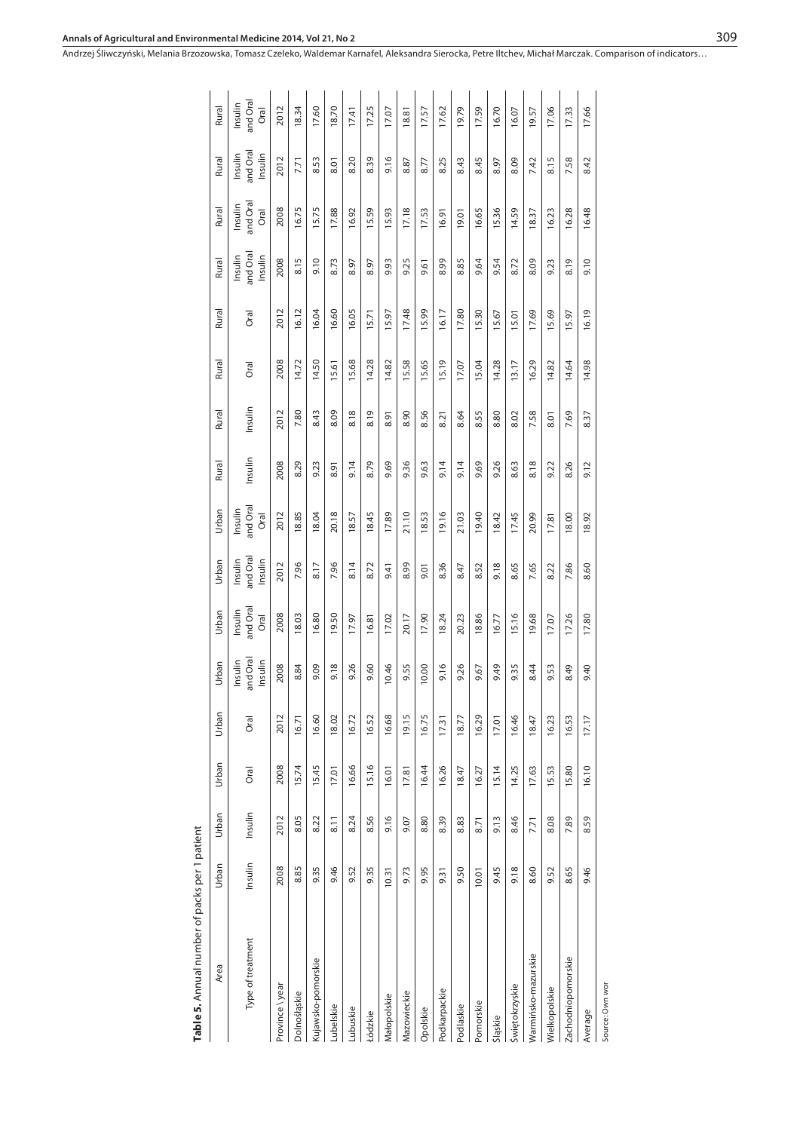| Table 5. Annual number of packs per 1 patient |         |         |             |       |                               |                             |                               |                             |         |         |       |       |                                |                             |                                |                             |
|-----------------------------------------------|---------|---------|-------------|-------|-------------------------------|-----------------------------|-------------------------------|-----------------------------|---------|---------|-------|-------|--------------------------------|-----------------------------|--------------------------------|-----------------------------|
| Area                                          | Urban   | Urban   | Urban       | Urban | Urban                         | Urban                       | Urban                         | Urban                       | Rural   | Rural   | Rural | Rural | Rural                          | Rural                       | Rural                          | Rural                       |
| Type of treatment                             | Insulin | Insulin | <b>Oral</b> | Oral  | and Ora<br>Insulin<br>Insulin | and Oral<br>Insulin<br>Oral | and Ora<br>Insulin<br>Insulin | and Oral<br>Insulin<br>Oral | Insulin | Insulin | Oral  | Oral  | and Oral<br>Insulin<br>Insulin | and Oral<br>Insulin<br>Oral | and Oral<br>Insulin<br>Insulin | Insulin<br>and Oral<br>Oral |
| Province \year                                | 2008    | 2012    | 2008        | 2012  | 2008                          | 2008                        | 2012                          | 2012                        | 2008    | 2012    | 2008  | 2012  | 2008                           | 2008                        | 2012                           | 2012                        |
| Dolnośłąskie                                  | 8.85    | 8.05    | 15.74       | 16.71 | 8.84                          | 18.03                       | 7.96                          | 18.85                       | 8.29    | 7.80    | 14.72 | 16.12 | 8.15                           | 16.75                       | 7.71                           | 18.34                       |
| Kujawsko-pomorskie                            | 9.35    | 8.22    | 15.45       | 16.60 | 9.09                          | 16.80                       | 8.17                          | 18.04                       | 9.23    | 8.43    | 14.50 | 16.04 | 9.10                           | 15.75                       | 8.53                           | 17.60                       |
| ubelskie                                      | 9.46    | 8.11    | 17.01       | 18.02 | 9.18                          | 19.50                       | 7.96                          | 20.18                       | 8.91    | 8.09    | 15.61 | 16.60 | 8.73                           | 17.88                       | 8.01                           | 18.70                       |
| ubuskie                                       | 9.52    | 8.24    | 16.66       | 16.72 | 9.26                          | 17.97                       | 8.14                          | 18.57                       | 9.14    | 8.18    | 15.68 | 16.05 | 8.97                           | 16.92                       | 8.20                           | 17.41                       |
| Łódzkie                                       | 9.35    | 8.56    | 15.16       | 16.52 | 9.60                          | 16.81                       | 8.72                          | 18.45                       | 8.79    | 8.19    | 14.28 | 15.71 | 8.97                           | 15.59                       | 8.39                           | 17.25                       |
| Małopolskie                                   | 10.31   | 9.16    | 16.01       | 16.68 | 10.46                         | 17.02                       | 9.41                          | 17.89                       | 9.69    | 8.91    | 14.82 | 15.97 | 9.93                           | 15.93                       | 9.16                           | 17.07                       |
| Mazowieckie                                   | 9.73    | 9.07    | 17.81       | 19.15 | 9.55                          | 20.17                       | 8.99                          | 21.10                       | 9.36    | 8.90    | 15.58 | 17.48 | 9.25                           | 17.18                       | 8.87                           | 18.81                       |
| Opolskie                                      | 9.95    | 8.80    | 16.44       | 16.75 | 10.00                         | 17.90                       | 0.01                          | 18.53                       | 9.63    | 8.56    | 15.65 | 15.99 | 9.61                           | 17.53                       | 8.77                           | 17.57                       |
| Podkarpackie                                  | 9.31    | 8.39    | 16.26       | 17.31 | 9.16                          | 18.24                       | 8.36                          | 19.16                       | 9.14    | 8.21    | 15.19 | 16.17 | 8.99                           | 16.91                       | 8.25                           | 17.62                       |
| Podlaskie                                     | 9.50    | 8.83    | 18.47       | 18.77 | 9.26                          | 20.23                       | 8.47                          | 21.03                       | 9.14    | 8.64    | 17.07 | 17.80 | 8.85                           | 19.01                       | 8.43                           | 19.79                       |
| Pomorskie                                     | 10.01   | 8.71    | 16.27       | 16.29 | 9.67                          | 18.86                       | 8.52                          | 19.40                       | 9.69    | 8.55    | 15.04 | 15.30 | 9.64                           | 16.65                       | 8.45                           | 17.59                       |
| Śląskie                                       | 9.45    | 9.13    | 15.14       | 17.01 | 9.49                          | 16.77                       | 9.18                          | 18.42                       | 9.26    | 8.80    | 14.28 | 15.67 | 9.54                           | 15.36                       | 8.97                           | 16.70                       |
| Swiętokrzyskie                                | 9.18    | 8.46    | 14.25       | 16.46 | 935                           | 15.16                       | 8.65                          | 17.45                       | 8.63    | 8.02    | 13.17 | 15.01 | 8.72                           | 14.59                       | 8.09                           | 16.07                       |
| Warmińsko-mazurskie                           | 8.60    | 7.71    | 17.63       | 18.47 | 8.44                          | 19.68                       | 7.65                          | 20.99                       | 8.18    | 7.58    | 16.29 | 17.69 | 8.09                           | 18.37                       | 7.42                           | 19.57                       |
| Wielkopolskie                                 | 9.52    | 8.08    | 15.53       | 16.23 | 9.53                          | 17.07                       | 8.22                          | 17.81                       | 9.22    | 8.01    | 14.82 | 15.69 | 9.23                           | 16.23                       | 8.15                           | 17.06                       |
| Zachodniopomorskie                            | 8.65    | 7.89    | 15.80       | 16.53 | 8.49                          | 17.26                       | 7.86                          | 18.00                       | 8.26    | 7.69    | 14.64 | 15.97 | 8.19                           | 16.28                       | 7.58                           | 17.33                       |
| Average                                       | 9.46    | 8.59    | 16.10       | 17.17 | 9.40                          | 17.80                       | 8.60                          | 18.92                       | 9.12    | 8.37    | 14.98 | 16.19 | 9.10                           | 16.48                       | 8.42                           | 17.66                       |
| Source: Own wor                               |         |         |             |       |                               |                             |                               |                             |         |         |       |       |                                |                             |                                |                             |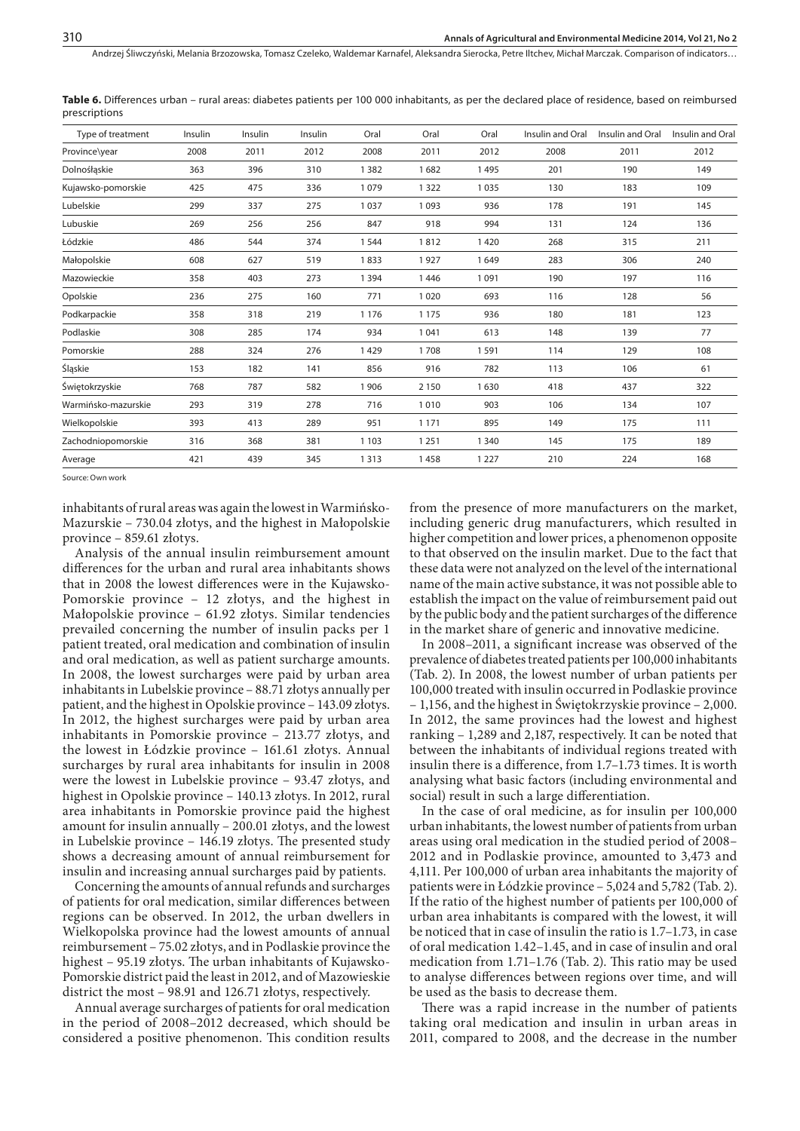Andrzej Śliwczyński, Melania Brzozowska, Tomasz Czeleko, Waldemar Karnafel, Aleksandra Sierocka, Petre Iltchev, Michał Marczak . Comparison of indicators…

**Table 6.** Differences urban – rural areas: diabetes patients per 100 000 inhabitants, as per the declared place of residence, based on reimbursed prescriptions

| Type of treatment   | Insulin | Insulin | Insulin | Oral    | Oral    | Oral    | Insulin and Oral | Insulin and Oral | Insulin and Oral |
|---------------------|---------|---------|---------|---------|---------|---------|------------------|------------------|------------------|
| Province\year       | 2008    | 2011    | 2012    | 2008    | 2011    | 2012    | 2008             | 2011             | 2012             |
| Dolnośłąskie        | 363     | 396     | 310     | 1382    | 1682    | 1495    | 201              | 190              | 149              |
| Kujawsko-pomorskie  | 425     | 475     | 336     | 1079    | 1 3 2 2 | 1035    | 130              | 183              | 109              |
| Lubelskie           | 299     | 337     | 275     | 1 0 3 7 | 1 0 9 3 | 936     | 178              | 191              | 145              |
| Lubuskie            | 269     | 256     | 256     | 847     | 918     | 994     | 131              | 124              | 136              |
| Łódzkie             | 486     | 544     | 374     | 1 5 4 4 | 1812    | 1420    | 268              | 315              | 211              |
| Małopolskie         | 608     | 627     | 519     | 1833    | 1927    | 1649    | 283              | 306              | 240              |
| Mazowieckie         | 358     | 403     | 273     | 1 3 9 4 | 1446    | 1091    | 190              | 197              | 116              |
| Opolskie            | 236     | 275     | 160     | 771     | 1020    | 693     | 116              | 128              | 56               |
| Podkarpackie        | 358     | 318     | 219     | 1 1 7 6 | 1 1 7 5 | 936     | 180              | 181              | 123              |
| Podlaskie           | 308     | 285     | 174     | 934     | 1041    | 613     | 148              | 139              | 77               |
| Pomorskie           | 288     | 324     | 276     | 1429    | 1708    | 1591    | 114              | 129              | 108              |
| Śląskie             | 153     | 182     | 141     | 856     | 916     | 782     | 113              | 106              | 61               |
| Świętokrzyskie      | 768     | 787     | 582     | 1 9 0 6 | 2 1 5 0 | 1630    | 418              | 437              | 322              |
| Warmińsko-mazurskie | 293     | 319     | 278     | 716     | 1010    | 903     | 106              | 134              | 107              |
| Wielkopolskie       | 393     | 413     | 289     | 951     | 1 1 7 1 | 895     | 149              | 175              | 111              |
| Zachodniopomorskie  | 316     | 368     | 381     | 1 1 0 3 | 1 2 5 1 | 1 3 4 0 | 145              | 175              | 189              |
| Average             | 421     | 439     | 345     | 1313    | 1458    | 1 2 2 7 | 210              | 224              | 168              |

Source: Own work

inhabitants of rural areas was again the lowest in Warmińsko-Mazurskie – 730.04 złotys, and the highest in Małopolskie province – 859.61 złotys.

Analysis of the annual insulin reimbursement amount differences for the urban and rural area inhabitants shows that in 2008 the lowest differences were in the Kujawsko-Pomorskie province – 12 złotys, and the highest in Małopolskie province – 61.92 złotys. Similar tendencies prevailed concerning the number of insulin packs per 1 patient treated, oral medication and combination of insulin and oral medication, as well as patient surcharge amounts. In 2008, the lowest surcharges were paid by urban area inhabitants in Lubelskie province – 88.71 złotys annually per patient, and the highest in Opolskie province – 143.09 złotys. In 2012, the highest surcharges were paid by urban area inhabitants in Pomorskie province – 213.77 złotys, and the lowest in Łódzkie province – 161.61 złotys. Annual surcharges by rural area inhabitants for insulin in 2008 were the lowest in Lubelskie province – 93.47 złotys, and highest in Opolskie province – 140.13 złotys. In 2012, rural area inhabitants in Pomorskie province paid the highest amount for insulin annually – 200.01 złotys, and the lowest in Lubelskie province – 146.19 złotys. The presented study shows a decreasing amount of annual reimbursement for insulin and increasing annual surcharges paid by patients.

Concerning the amounts of annual refunds and surcharges of patients for oral medication, similar differences between regions can be observed. In 2012, the urban dwellers in Wielkopolska province had the lowest amounts of annual reimbursement – 75.02 złotys, and in Podlaskie province the highest – 95.19 złotys. The urban inhabitants of Kujawsko-Pomorskie district paid the least in 2012, and of Mazowieskie district the most – 98.91 and 126.71 złotys, respectively.

Annual average surcharges of patients for oral medication in the period of 2008–2012 decreased, which should be considered a positive phenomenon. This condition results

from the presence of more manufacturers on the market, including generic drug manufacturers, which resulted in higher competition and lower prices, a phenomenon opposite to that observed on the insulin market. Due to the fact that these data were not analyzed on the level of the international name of the main active substance, it was not possible able to establish the impact on the value of reimbursement paid out by the public body and the patient surcharges of the difference in the market share of generic and innovative medicine.

In 2008–2011, a significant increase was observed of the prevalence of diabetes treated patients per 100,000 inhabitants (Tab. 2). In 2008, the lowest number of urban patients per 100,000 treated with insulin occurred in Podlaskie province – 1,156, and the highest in Świętokrzyskie province – 2,000. In 2012, the same provinces had the lowest and highest ranking – 1,289 and 2,187, respectively. It can be noted that between the inhabitants of individual regions treated with insulin there is a difference, from 1.7–1.73 times. It is worth analysing what basic factors (including environmental and social) result in such a large differentiation.

In the case of oral medicine, as for insulin per 100,000 urban inhabitants, the lowest number of patients from urban areas using oral medication in the studied period of 2008– 2012 and in Podlaskie province, amounted to 3,473 and 4,111. Per 100,000 of urban area inhabitants the majority of patients were in Łódzkie province – 5,024 and 5,782 (Tab. 2). If the ratio of the highest number of patients per 100,000 of urban area inhabitants is compared with the lowest, it will be noticed that in case of insulin the ratio is 1.7–1.73, in case of oral medication 1.42–1.45, and in case of insulin and oral medication from 1.71–1.76 (Tab. 2). This ratio may be used to analyse differences between regions over time, and will be used as the basis to decrease them.

There was a rapid increase in the number of patients taking oral medication and insulin in urban areas in 2011, compared to 2008, and the decrease in the number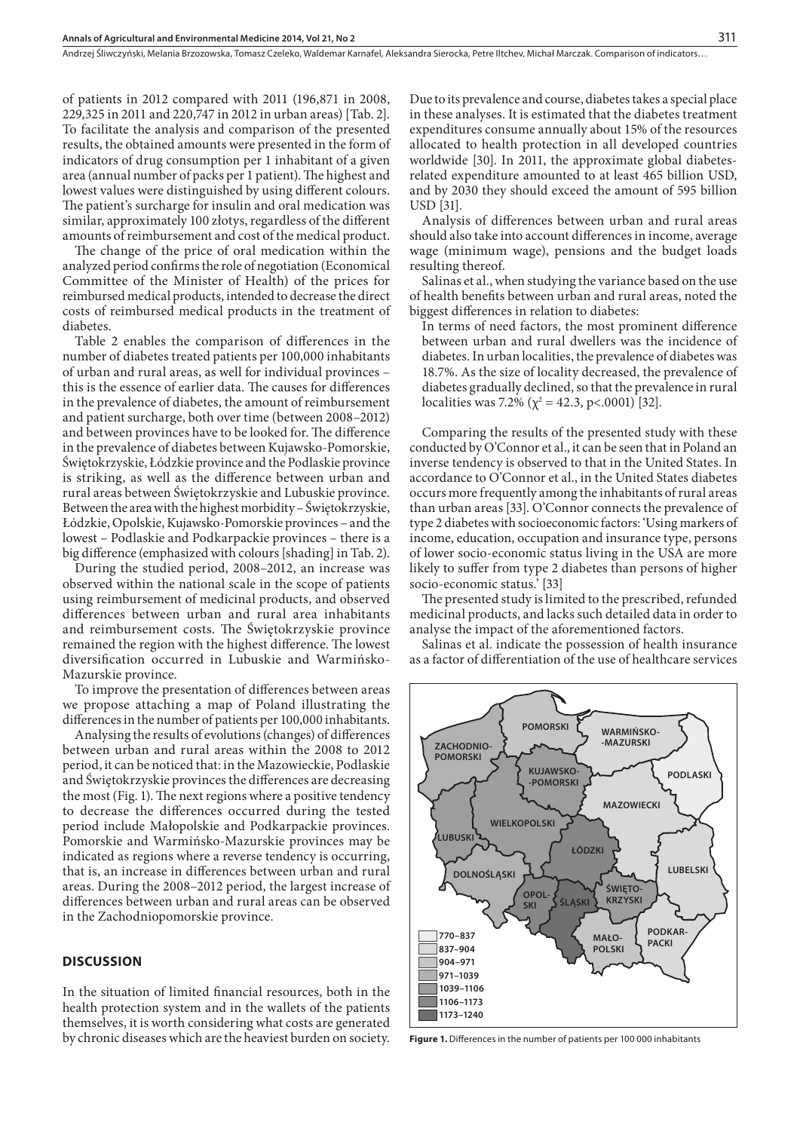of patients in 2012 compared with 2011 (196,871 in 2008, 229,325 in 2011 and 220,747 in 2012 in urban areas) [Tab. 2]. To facilitate the analysis and comparison of the presented results, the obtained amounts were presented in the form of indicators of drug consumption per 1 inhabitant of a given area (annual number of packs per 1 patient). The highest and lowest values were distinguished by using different colours. The patient's surcharge for insulin and oral medication was similar, approximately 100 złotys, regardless of the different amounts of reimbursement and cost of the medical product.

The change of the price of oral medication within the analyzed period confirms the role of negotiation (Economical Committee of the Minister of Health) of the prices for reimbursed medical products, intended to decrease the direct costs of reimbursed medical products in the treatment of diabetes.

Table 2 enables the comparison of differences in the number of diabetes treated patients per 100,000 inhabitants of urban and rural areas, as well for individual provinces – this is the essence of earlier data. The causes for differences in the prevalence of diabetes, the amount of reimbursement and patient surcharge, both over time (between 2008–2012) and between provinces have to be looked for. The difference in the prevalence of diabetes between Kujawsko-Pomorskie, Świętokrzyskie, Łódzkie province and the Podlaskie province is striking, as well as the difference between urban and rural areas between Świętokrzyskie and Lubuskie province. Between the area with the highest morbidity – Świętokrzyskie, Łódzkie, Opolskie, Kujawsko-Pomorskie provinces – and the lowest – Podlaskie and Podkarpackie provinces – there is a big difference (emphasized with colours [shading] in Tab. 2).

During the studied period, 2008–2012, an increase was observed within the national scale in the scope of patients using reimbursement of medicinal products, and observed differences between urban and rural area inhabitants and reimbursement costs. The Świętokrzyskie province remained the region with the highest difference. The lowest diversification occurred in Lubuskie and Warmińsko-Mazurskie province.

To improve the presentation of differences between areas we propose attaching a map of Poland illustrating the differences in the number of patients per 100,000 inhabitants.

Analysing the results of evolutions (changes) of differences between urban and rural areas within the 2008 to 2012 period, it can be noticed that: in the Mazowieckie, Podlaskie and Świętokrzyskie provinces the differences are decreasing the most (Fig. 1). The next regions where a positive tendency to decrease the differences occurred during the tested period include Małopolskie and Podkarpackie provinces. Pomorskie and Warmińsko-Mazurskie provinces may be indicated as regions where a reverse tendency is occurring, that is, an increase in differences between urban and rural areas. During the 2008–2012 period, the largest increase of differences between urban and rural areas can be observed in the Zachodniopomorskie province.

## **DISCUSSION**

In the situation of limited financial resources, both in the health protection system and in the wallets of the patients themselves, it is worth considering what costs are generated by chronic diseases which are the heaviest burden on society. Due to its prevalence and course, diabetes takes a special place in these analyses. It is estimated that the diabetes treatment expenditures consume annually about 15% of the resources allocated to health protection in all developed countries worldwide [30]. In 2011, the approximate global diabetesrelated expenditure amounted to at least 465 billion USD, and by 2030 they should exceed the amount of 595 billion USD [31].

Analysis of differences between urban and rural areas should also take into account differences in income, average wage (minimum wage), pensions and the budget loads resulting thereof.

Salinas et al., when studying the variance based on the use of health benefits between urban and rural areas, noted the biggest differences in relation to diabetes:

In terms of need factors, the most prominent difference between urban and rural dwellers was the incidence of diabetes. In urban localities, the prevalence of diabetes was 18.7%. As the size of locality decreased, the prevalence of diabetes gradually declined, so that the prevalence in rural localities was 7.2% ( $\chi^2$  = 42.3, p<.0001) [32].

Comparing the results of the presented study with these conducted by O'Connor et al., it can be seen that in Poland an inverse tendency is observed to that in the United States. In accordance to O'Connor et al., in the United States diabetes occurs more frequently among the inhabitants of rural areas than urban areas [33]. O'Connor connects the prevalence of type 2 diabetes with socioeconomic factors: 'Using markers of income, education, occupation and insurance type, persons of lower socio-economic status living in the USA are more likely to suffer from type 2 diabetes than persons of higher socio-economic status.' [33]

The presented study is limited to the prescribed, refunded medicinal products, and lacks such detailed data in order to analyse the impact of the aforementioned factors.

Salinas et al. indicate the possession of health insurance as a factor of differentiation of the use of healthcare services



**Figure 1.** Differences in the number of patients per 100 000 inhabitants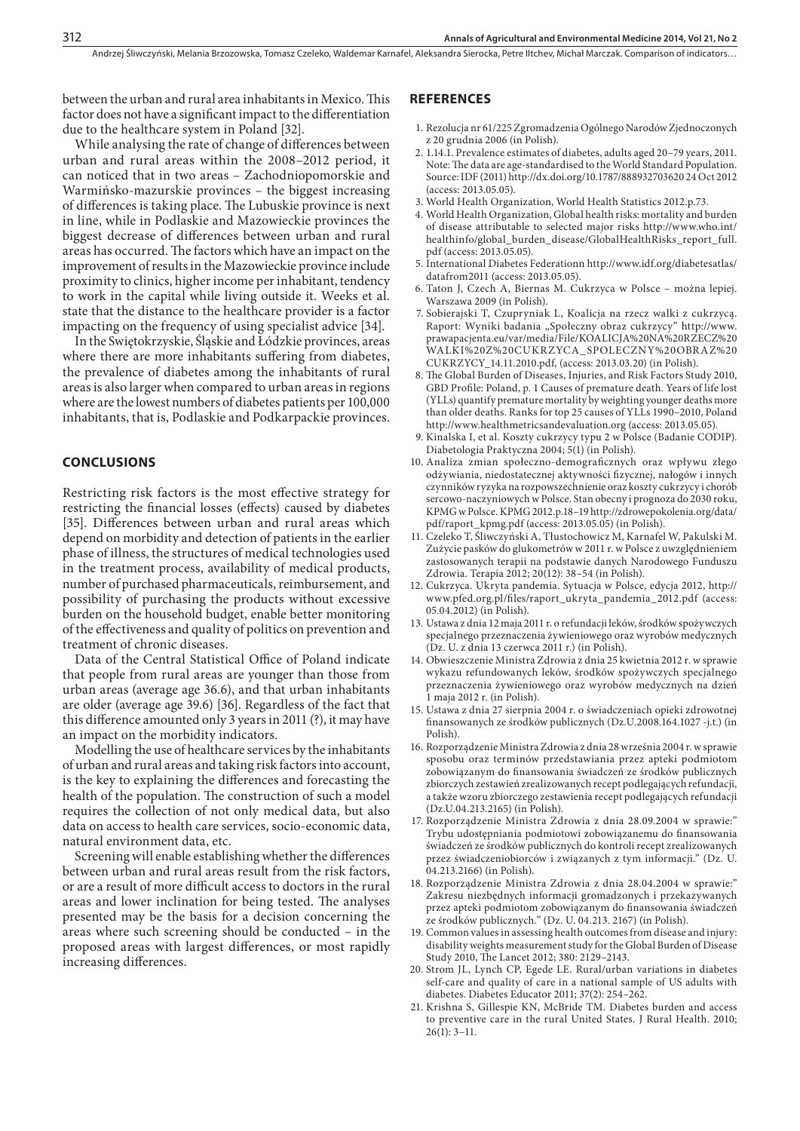between the urban and rural area inhabitants in Mexico. This factor does not have a significant impact to the differentiation due to the healthcare system in Poland [32].

While analysing the rate of change of differences between urban and rural areas within the 2008–2012 period, it can noticed that in two areas – Zachodniopomorskie and Warmińsko-mazurskie provinces – the biggest increasing of differences is taking place. The Lubuskie province is next in line, while in Podlaskie and Mazowieckie provinces the biggest decrease of differences between urban and rural areas has occurred. The factors which have an impact on the improvement of results in the Mazowieckie province include proximity to clinics, higher income per inhabitant, tendency to work in the capital while living outside it. Weeks et al. state that the distance to the healthcare provider is a factor impacting on the frequency of using specialist advice [34].

In the Swiętokrzyskie, Śląskie and Łódzkie provinces, areas where there are more inhabitants suffering from diabetes, the prevalence of diabetes among the inhabitants of rural areas is also larger when compared to urban areas in regions where are the lowest numbers of diabetes patients per 100,000 inhabitants, that is, Podlaskie and Podkarpackie provinces.

#### **CONCLUSIONS**

Restricting risk factors is the most effective strategy for restricting the financial losses (effects) caused by diabetes [35]. Differences between urban and rural areas which depend on morbidity and detection of patients in the earlier phase of illness, the structures of medical technologies used in the treatment process, availability of medical products, number of purchased pharmaceuticals, reimbursement, and possibility of purchasing the products without excessive burden on the household budget, enable better monitoring of the effectiveness and quality of politics on prevention and treatment of chronic diseases.

Data of the Central Statistical Office of Poland indicate that people from rural areas are younger than those from urban areas (average age 36.6), and that urban inhabitants are older (average age 39.6) [36]. Regardless of the fact that this difference amounted only 3 years in 2011 (?), it may have an impact on the morbidity indicators.

Modelling the use of healthcare services by the inhabitants of urban and rural areas and taking risk factors into account, is the key to explaining the differences and forecasting the health of the population. The construction of such a model requires the collection of not only medical data, but also data on access to health care services, socio-economic data, natural environment data, etc.

Screening will enable establishing whether the differences between urban and rural areas result from the risk factors, or are a result of more difficult access to doctors in the rural areas and lower inclination for being tested. The analyses presented may be the basis for a decision concerning the areas where such screening should be conducted – in the proposed areas with largest differences, or most rapidly increasing differences.

#### **REFERENCES**

- 1. Rezolucja nr 61/225 Zgromadzenia Ogólnego Narodów Zjednoczonych z 20 grudnia 2006 (in Polish).
- 2. 1.14.1. Prevalence estimates of diabetes, adults aged 20–79 years, 2011. Note: The data are age-standardised to the World Standard Population. Source: IDF (2011) http://dx.doi.org/10.1787/888932703620 24 Oct 2012 (access: 2013.05.05).
- 3. World Health Organization, World Health Statistics 2012.p.73.
- 4. World Health Organization, Global health risks: mortality and burden of disease attributable to selected major risks http://www.who.int/ healthinfo/global\_burden\_disease/GlobalHealthRisks\_report\_full. pdf (access: 2013.05.05).
- 5. International Diabetes Federationn http://www.idf.org/diabetesatlas/ datafrom2011 (access: 2013.05.05).
- 6. Taton J, Czech A, Biernas M. Cukrzyca w Polsce można lepiej. Warszawa 2009 (in Polish).
- 7. Sobierajski T, Czupryniak L, Koalicja na rzecz walki z cukrzycą. Raport: Wyniki badania "Społeczny obraz cukrzycy" http://www. prawapacjenta.eu/var/media/File/KOALICJA%20NA%20RZECZ%20 WALKI%20Z%20CUKRZYCA\_SPOLECZNY%20OBRAZ%20 CUKRZYCY\_14.11.2010.pdf, (access: 2013.03.20) (in Polish).
- 8. The Global Burden of Diseases, Injuries, and Risk Factors Study 2010, GBD Profile: Poland, p. 1 Causes of premature death. Years of life lost (YLLs) quantify premature mortality by weighting younger deaths more than older deaths. Ranks for top 25 causes of YLLs 1990–2010, Poland http://www.healthmetricsandevaluation.org (access: 2013.05.05).
- 9. Kinalska I, et al. Koszty cukrzycy typu 2 w Polsce (Badanie CODIP). Diabetologia Praktyczna 2004; 5(1) (in Polish).
- 10. Analiza zmian społeczno-demograficznych oraz wpływu złego odżywiania, niedostatecznej aktywności fizycznej, nałogów i innych czynników ryzyka na rozpowszechnienie oraz koszty cukrzycy i chorób sercowo-naczyniowych w Polsce. Stan obecny i prognoza do 2030 roku, KPMG w Polsce. KPMG 2012.p.18–19 http://zdrowepokolenia.org/data/ pdf/raport\_kpmg.pdf (access: 2013.05.05) (in Polish).
- 11. Czeleko T, Śliwczyński A, Tłustochowicz M, Karnafel W, Pakulski M. Zużycie pasków do glukometrów w 2011 r. w Polsce z uwzględnieniem zastosowanych terapii na podstawie danych Narodowego Funduszu Zdrowia. Terapia 2012; 20(12): 38–54 (in Polish).
- 12. Cukrzyca. Ukryta pandemia. Sytuacja w Polsce, edycja 2012, http:// www.pfed.org.pl/files/raport\_ukryta\_pandemia\_2012.pdf (access: 05.04.2012) (in Polish).
- 13. Ustawa z dnia 12 maja 2011 r. o refundacji leków, środków spożywczych specjalnego przeznaczenia żywieniowego oraz wyrobów medycznych (Dz. U. z dnia 13 czerwca 2011 r.) (in Polish).
- 14. Obwieszczenie Ministra Zdrowia z dnia 25 kwietnia 2012 r. w sprawie wykazu refundowanych leków, środków spożywczych specjalnego przeznaczenia żywieniowego oraz wyrobów medycznych na dzień 1 maja 2012 r. (in Polish).
- 15. Ustawa z dnia 27 sierpnia 2004 r. o świadczeniach opieki zdrowotnej finansowanych ze środków publicznych (Dz.U.2008.164.1027 -j.t.) (in Polish).
- 16. Rozporządzenie Ministra Zdrowia z dnia 28 września 2004 r. w sprawie sposobu oraz terminów przedstawiania przez apteki podmiotom zobowiązanym do finansowania świadczeń ze środków publicznych zbiorczych zestawień zrealizowanych recept podlegających refundacji, a także wzoru zbiorczego zestawienia recept podlegających refundacji (Dz.U.04.213.2165) (in Polish).
- 17. Rozporządzenie Ministra Zdrowia z dnia 28.09.2004 w sprawie:" Trybu udostępniania podmiotowi zobowiązanemu do finansowania świadczeń ze środków publicznych do kontroli recept zrealizowanych przez świadczeniobiorców i związanych z tym informacji." (Dz. U. 04.213.2166) (in Polish).
- 18. Rozporządzenie Ministra Zdrowia z dnia 28.04.2004 w sprawie:" Zakresu niezbędnych informacji gromadzonych i przekazywanych przez apteki podmiotom zobowiązanym do finansowania świadczeń ze środków publicznych." (Dz. U. 04.213. 2167) (in Polish).
- 19. Common values in assessing health outcomes from disease and injury: disability weights measurement study for the Global Burden of Disease Study 2010, The Lancet 2012; 380: 2129–2143.
- 20. Strom JL, Lynch CP, Egede LE. Rural/urban variations in diabetes self-care and quality of care in a national sample of US adults with diabetes. Diabetes Educator 2011; 37(2): 254–262.
- 21. Krishna S, Gillespie KN, McBride TM. Diabetes burden and access to preventive care in the rural United States. J Rural Health. 2010; 26(1): 3–11.